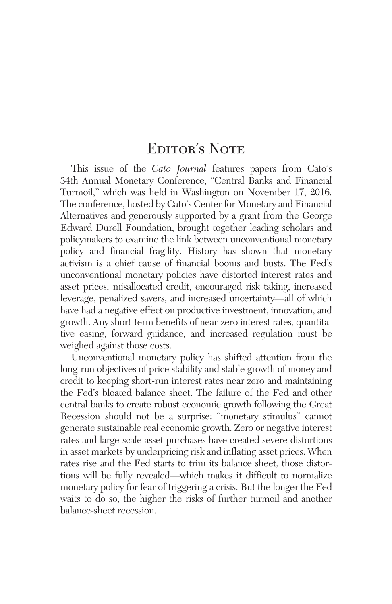## EDITOR'S NOTE

This issue of the *Cato Journal* features papers from Cato's 34th Annual Monetary Conference, "Central Banks and Financial Turmoil," which was held in Washington on November 17, 2016. The conference, hosted by Cato's Center for Monetary and Financial Alternatives and generously supported by a grant from the George Edward Durell Foundation, brought together leading scholars and policymakers to examine the link between unconventional monetary policy and financial fragility. History has shown that monetary activism is a chief cause of financial booms and busts. The Fed's unconventional monetary policies have distorted interest rates and asset prices, misallocated credit, encouraged risk taking, increased leverage, penalized savers, and increased uncertainty—all of which have had a negative effect on productive investment, innovation, and growth. Any short-term benefits of near-zero interest rates, quantitative easing, forward guidance, and increased regulation must be weighed against those costs.

Unconventional monetary policy has shifted attention from the long-run objectives of price stability and stable growth of money and credit to keeping short-run interest rates near zero and maintaining the Fed's bloated balance sheet. The failure of the Fed and other central banks to create robust economic growth following the Great Recession should not be a surprise: "monetary stimulus" cannot generate sustainable real economic growth. Zero or negative interest rates and large-scale asset purchases have created severe distortions in asset markets by underpricing risk and inflating asset prices. When rates rise and the Fed starts to trim its balance sheet, those distortions will be fully revealed—which makes it difficult to normalize monetary policy for fear of triggering a crisis. But the longer the Fed waits to do so, the higher the risks of further turmoil and another balance-sheet recession.